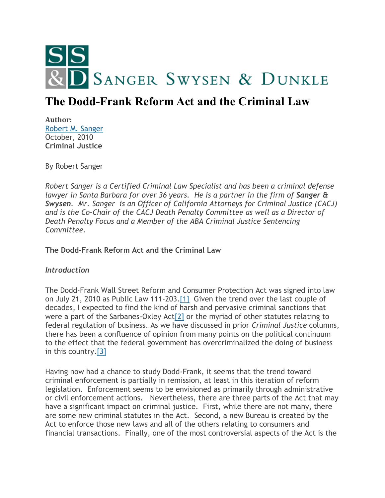

# **The Dodd-Frank Reform Act and the Criminal Law**

**Author:** [Robert M. Sanger](http://www.sangerswysen.com/robert-m-sanger) October, 2010 **Criminal Justice**

By Robert Sanger

*Robert Sanger is a Certified Criminal Law Specialist and has been a criminal defense lawyer in Santa Barbara for over 36 years. He is a partner in the firm of Sanger & Swysen. Mr. Sanger is an Officer of California Attorneys for Criminal Justice (CACJ) and is the Co-Chair of the CACJ Death Penalty Committee as well as a Director of Death Penalty Focus and a Member of the ABA Criminal Justice Sentencing Committee.*

**The Dodd-Frank Reform Act and the Criminal Law**

# *Introduction*

The Dodd-Frank Wall Street Reform and Consumer Protection Act was signed into law on July 21, 2010 as Public Law 111-203[.\[1\]](#page-6-0) Given the trend over the last couple of decades, I expected to find the kind of harsh and pervasive criminal sanctions that were a part of the Sarbanes-Oxley Ac[t\[2\]](#page-6-1) or the myriad of other statutes relating to federal regulation of business. As we have discussed in prior *Criminal Justice* columns, there has been a confluence of opinion from many points on the political continuum to the effect that the federal government has overcriminalized the doing of business in this country[.\[3\]](#page-6-2)

Having now had a chance to study Dodd-Frank, it seems that the trend toward criminal enforcement is partially in remission, at least in this iteration of reform legislation. Enforcement seems to be envisioned as primarily through administrative or civil enforcement actions. Nevertheless, there are three parts of the Act that may have a significant impact on criminal justice. First, while there are not many, there are some new criminal statutes in the Act. Second, a new Bureau is created by the Act to enforce those new laws and all of the others relating to consumers and financial transactions. Finally, one of the most controversial aspects of the Act is the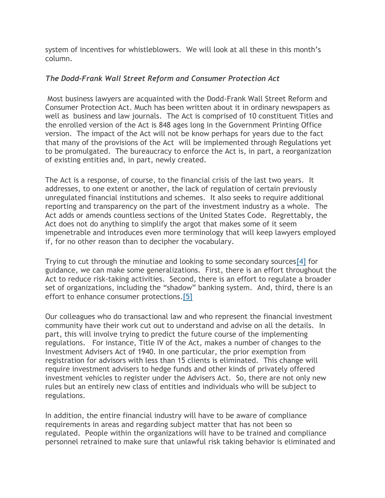system of incentives for whistleblowers. We will look at all these in this month's column.

# *The Dodd-Frank Wall Street Reform and Consumer Protection Act*

Most business lawyers are acquainted with the Dodd-Frank Wall Street Reform and Consumer Protection Act. Much has been written about it in ordinary newspapers as well as business and law journals. The Act is comprised of 10 constituent Titles and the enrolled version of the Act is 848 ages long in the Government Printing Office version. The impact of the Act will not be know perhaps for years due to the fact that many of the provisions of the Act will be implemented through Regulations yet to be promulgated. The bureaucracy to enforce the Act is, in part, a reorganization of existing entities and, in part, newly created.

The Act is a response, of course, to the financial crisis of the last two years. It addresses, to one extent or another, the lack of regulation of certain previously unregulated financial institutions and schemes. It also seeks to require additional reporting and transparency on the part of the investment industry as a whole. The Act adds or amends countless sections of the United States Code. Regrettably, the Act does not do anything to simplify the argot that makes some of it seem impenetrable and introduces even more terminology that will keep lawyers employed if, for no other reason than to decipher the vocabulary.

Trying to cut through the minutiae and looking to some secondary source[s\[4\]](#page-6-3) for guidance, we can make some generalizations. First, there is an effort throughout the Act to reduce risk-taking activities. Second, there is an effort to regulate a broader set of organizations, including the "shadow" banking system. And, third, there is an effort to enhance consumer protections[.\[5\]](#page-6-4)

Our colleagues who do transactional law and who represent the financial investment community have their work cut out to understand and advise on all the details. In part, this will involve trying to predict the future course of the implementing regulations. For instance, Title IV of the Act, makes a number of changes to the Investment Advisers Act of 1940. In one particular, the prior exemption from registration for advisors with less than 15 clients is eliminated. This change will require investment advisers to hedge funds and other kinds of privately offered investment vehicles to register under the Advisers Act. So, there are not only new rules but an entirely new class of entities and individuals who will be subject to regulations.

In addition, the entire financial industry will have to be aware of compliance requirements in areas and regarding subject matter that has not been so regulated. People within the organizations will have to be trained and compliance personnel retrained to make sure that unlawful risk taking behavior is eliminated and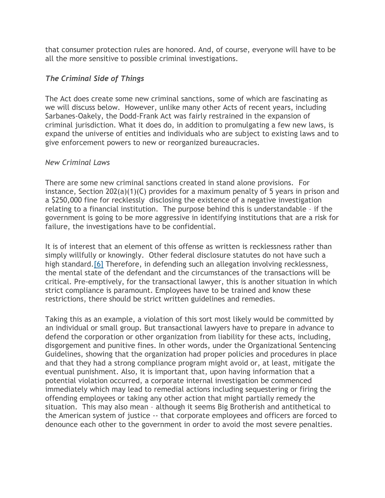that consumer protection rules are honored. And, of course, everyone will have to be all the more sensitive to possible criminal investigations.

# *The Criminal Side of Things*

The Act does create some new criminal sanctions, some of which are fascinating as we will discuss below. However, unlike many other Acts of recent years, including Sarbanes-Oakely, the Dodd-Frank Act was fairly restrained in the expansion of criminal jurisdiction. What it does do, in addition to promulgating a few new laws, is expand the universe of entities and individuals who are subject to existing laws and to give enforcement powers to new or reorganized bureaucracies.

## *New Criminal Laws*

There are some new criminal sanctions created in stand alone provisions. For instance, Section 202(a)(1)(C) provides for a maximum penalty of 5 years in prison and a \$250,000 fine for recklessly disclosing the existence of a negative investigation relating to a financial institution. The purpose behind this is understandable – if the government is going to be more aggressive in identifying institutions that are a risk for failure, the investigations have to be confidential.

It is of interest that an element of this offense as written is recklessness rather than simply willfully or knowingly. Other federal disclosure statutes do not have such a high standard.<sup>[6]</sup> Therefore, in defending such an allegation involving recklessness, the mental state of the defendant and the circumstances of the transactions will be critical. Pre-emptively, for the transactional lawyer, this is another situation in which strict compliance is paramount. Employees have to be trained and know these restrictions, there should be strict written guidelines and remedies.

Taking this as an example, a violation of this sort most likely would be committed by an individual or small group. But transactional lawyers have to prepare in advance to defend the corporation or other organization from liability for these acts, including, disgorgement and punitive fines. In other words, under the Organizational Sentencing Guidelines, showing that the organization had proper policies and procedures in place and that they had a strong compliance program might avoid or, at least, mitigate the eventual punishment. Also, it is important that, upon having information that a potential violation occurred, a corporate internal investigation be commenced immediately which may lead to remedial actions including sequestering or firing the offending employees or taking any other action that might partially remedy the situation. This may also mean – although it seems Big Brotherish and antithetical to the American system of justice -- that corporate employees and officers are forced to denounce each other to the government in order to avoid the most severe penalties.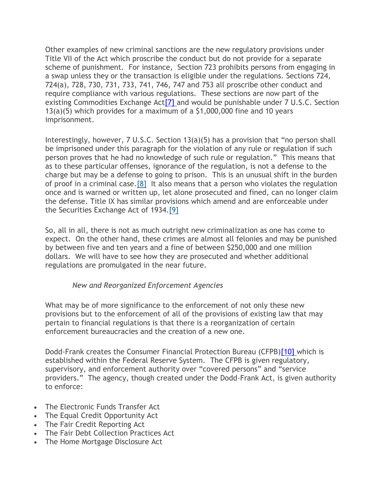Other examples of new criminal sanctions are the new regulatory provisions under Title VII of the Act which proscribe the conduct but do not provide for a separate scheme of punishment. For instance, Section 723 prohibits persons from engaging in a swap unless they or the transaction is eligible under the regulations. Sections 724, 724(a), 728, 730, 731, 733, 741, 746, 747 and 753 all proscribe other conduct and require compliance with various regulations. These sections are now part of the existing Commodities Exchange Ac[t\[7\]](#page-6-6) and would be punishable under 7 U.S.C. Section 13(a)(5) which provides for a maximum of a \$1,000,000 fine and 10 years imprisonment.

Interestingly, however, 7 U.S.C. Section 13(a)(5) has a provision that "no person shall be imprisoned under this paragraph for the violation of any rule or regulation if such person proves that he had no knowledge of such rule or regulation." This means that as to these particular offenses, ignorance of the regulation, is not a defense to the charge but may be a defense to going to prison. This is an unusual shift in the burden of proof in a criminal case[.\[8\]](#page-7-0) It also means that a person who violates the regulation once and is warned or written up, let alone prosecuted and fined, can no longer claim the defense. Title IX has similar provisions which amend and are enforceable under the Securities Exchange Act of 1934[.\[9\]](#page-7-1)

So, all in all, there is not as much outright new criminalization as one has come to expect. On the other hand, these crimes are almost all felonies and may be punished by between five and ten years and a fine of between \$250,000 and one million dollars. We will have to see how they are prosecuted and whether additional regulations are promulgated in the near future.

## *New and Reorganized Enforcement Agencies*

What may be of more significance to the enforcement of not only these new provisions but to the enforcement of all of the provisions of existing law that may pertain to financial regulations is that there is a reorganization of certain enforcement bureaucracies and the creation of a new one.

Dodd-Frank creates the Consumer Financial Protection Bureau (CFPB[\)\[10\]](#page-7-2) which is established within the Federal Reserve System. The CFPB is given regulatory, supervisory, and enforcement authority over "covered persons" and "service providers." The agency, though created under the Dodd-Frank Act, is given authority to enforce:

- The Electronic Funds Transfer Act
- The Equal Credit Opportunity Act
- The Fair Credit Reporting Act
- The Fair Debt Collection Practices Act
- The Home Mortgage Disclosure Act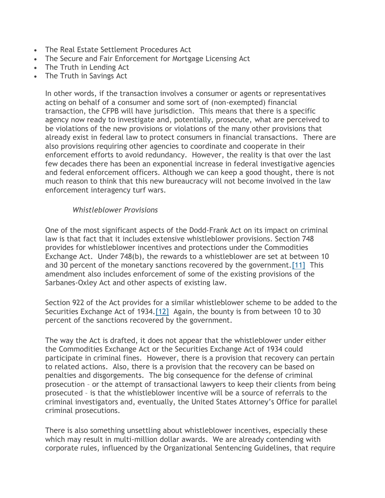- The Real Estate Settlement Procedures Act
- The Secure and Fair Enforcement for Mortgage Licensing Act
- The Truth in Lending Act
- The Truth in Savings Act

In other words, if the transaction involves a consumer or agents or representatives acting on behalf of a consumer and some sort of (non-exempted) financial transaction, the CFPB will have jurisdiction. This means that there is a specific agency now ready to investigate and, potentially, prosecute, what are perceived to be violations of the new provisions or violations of the many other provisions that already exist in federal law to protect consumers in financial transactions. There are also provisions requiring other agencies to coordinate and cooperate in their enforcement efforts to avoid redundancy. However, the reality is that over the last few decades there has been an exponential increase in federal investigative agencies and federal enforcement officers. Although we can keep a good thought, there is not much reason to think that this new bureaucracy will not become involved in the law enforcement interagency turf wars.

## *Whistleblower Provisions*

One of the most significant aspects of the Dodd-Frank Act on its impact on criminal law is that fact that it includes extensive whistleblower provisions. Section 748 provides for whistleblower incentives and protections under the Commodities Exchange Act. Under 748(b), the rewards to a whistleblower are set at between 10 and 30 percent of the monetary sanctions recovered by the government[.\[11\]](#page-7-3) This amendment also includes enforcement of some of the existing provisions of the Sarbanes-Oxley Act and other aspects of existing law.

Section 922 of the Act provides for a similar whistleblower scheme to be added to the Securities Exchange Act of 1934[.\[12\]](#page-7-4) Again, the bounty is from between 10 to 30 percent of the sanctions recovered by the government.

The way the Act is drafted, it does not appear that the whistleblower under either the Commodities Exchange Act or the Securities Exchange Act of 1934 could participate in criminal fines. However, there is a provision that recovery can pertain to related actions. Also, there is a provision that the recovery can be based on penalties and disgorgements. The big consequence for the defense of criminal prosecution – or the attempt of transactional lawyers to keep their clients from being prosecuted – is that the whistleblower incentive will be a source of referrals to the criminal investigators and, eventually, the United States Attorney's Office for parallel criminal prosecutions.

There is also something unsettling about whistleblower incentives, especially these which may result in multi-million dollar awards. We are already contending with corporate rules, influenced by the Organizational Sentencing Guidelines, that require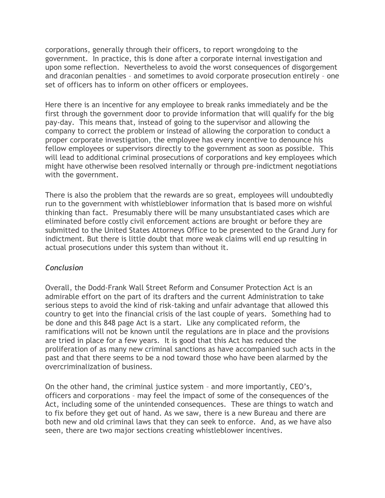corporations, generally through their officers, to report wrongdoing to the government. In practice, this is done after a corporate internal investigation and upon some reflection. Nevertheless to avoid the worst consequences of disgorgement and draconian penalties – and sometimes to avoid corporate prosecution entirely – one set of officers has to inform on other officers or employees.

Here there is an incentive for any employee to break ranks immediately and be the first through the government door to provide information that will qualify for the big pay-day. This means that, instead of going to the supervisor and allowing the company to correct the problem or instead of allowing the corporation to conduct a proper corporate investigation, the employee has every incentive to denounce his fellow employees or supervisors directly to the government as soon as possible. This will lead to additional criminal prosecutions of corporations and key employees which might have otherwise been resolved internally or through pre-indictment negotiations with the government.

There is also the problem that the rewards are so great, employees will undoubtedly run to the government with whistleblower information that is based more on wishful thinking than fact. Presumably there will be many unsubstantiated cases which are eliminated before costly civil enforcement actions are brought or before they are submitted to the United States Attorneys Office to be presented to the Grand Jury for indictment. But there is little doubt that more weak claims will end up resulting in actual prosecutions under this system than without it.

## *Conclusion*

Overall, the Dodd-Frank Wall Street Reform and Consumer Protection Act is an admirable effort on the part of its drafters and the current Administration to take serious steps to avoid the kind of risk-taking and unfair advantage that allowed this country to get into the financial crisis of the last couple of years. Something had to be done and this 848 page Act is a start. Like any complicated reform, the ramifications will not be known until the regulations are in place and the provisions are tried in place for a few years. It is good that this Act has reduced the proliferation of as many new criminal sanctions as have accompanied such acts in the past and that there seems to be a nod toward those who have been alarmed by the overcriminalization of business.

On the other hand, the criminal justice system – and more importantly, CEO's, officers and corporations – may feel the impact of some of the consequences of the Act, including some of the unintended consequences. These are things to watch and to fix before they get out of hand. As we saw, there is a new Bureau and there are both new and old criminal laws that they can seek to enforce. And, as we have also seen, there are two major sections creating whistleblower incentives.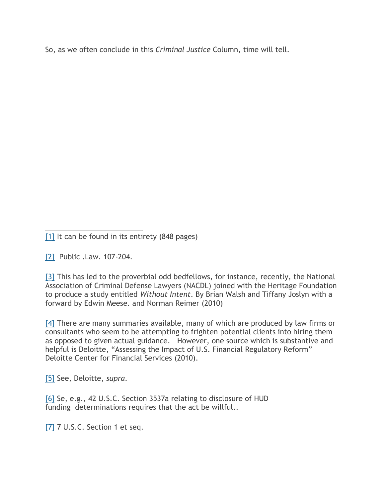So, as we often conclude in this *Criminal Justice* Column, time will tell.

<span id="page-6-0"></span>[1] It can be found in its entirety (848 pages)

<span id="page-6-1"></span>[2] Public .Law. 107-204.

<span id="page-6-2"></span>[3] This has led to the proverbial odd bedfellows, for instance, recently, the National Association of Criminal Defense Lawyers (NACDL) joined with the Heritage Foundation to produce a study entitled *Without Intent*. By Brian Walsh and Tiffany Joslyn with a forward by Edwin Meese. and Norman Reimer (2010)

<span id="page-6-3"></span>[4] There are many summaries available, many of which are produced by law firms or consultants who seem to be attempting to frighten potential clients into hiring them as opposed to given actual guidance. However, one source which is substantive and helpful is Deloitte, "Assessing the Impact of U.S. Financial Regulatory Reform" Deloitte Center for Financial Services (2010).

<span id="page-6-4"></span>[5] See, Deloitte, *supra*.

<span id="page-6-5"></span>[6] Se, e.g., 42 U.S.C. Section 3537a relating to disclosure of HUD funding determinations requires that the act be willful..

<span id="page-6-6"></span>[7] 7 U.S.C. Section 1 et seq.